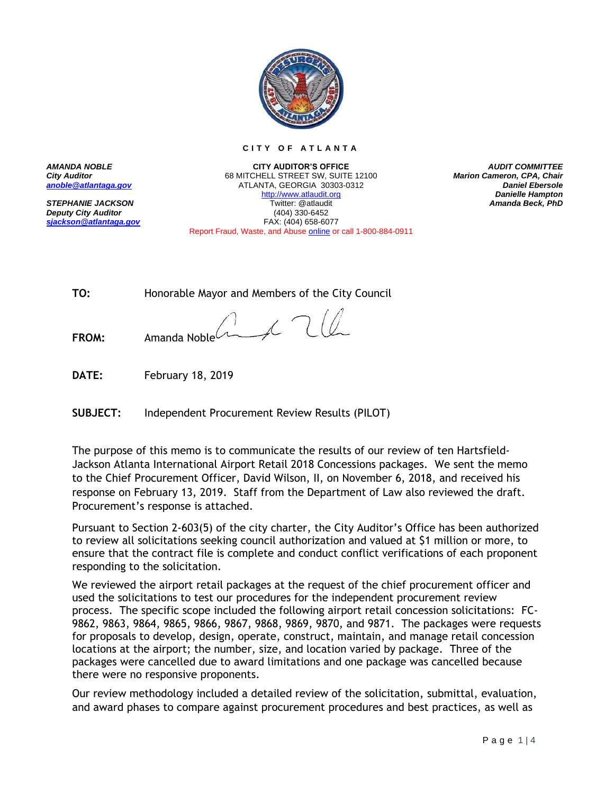

**C I T Y O F A T L A N T A**

*AUDIT COMMITTEE Marion Cameron, CPA, Chair Daniel Ebersole Danielle Hampton Amanda Beck, PhD*

*AMANDA NOBLE City Auditor [anoble@atlantaga.gov](mailto:anoble@atlantaga.gov)*

*STEPHANIE JACKSON Deputy City Auditor [sjackson@atlantaga.gov](mailto:sjackson@atlantaga.gov)*

**CITY AUDITOR'S OFFICE** 68 MITCHELL STREET SW, SUITE 12100 ATLANTA, GEORGIA 30303-0312 [http://www.atlaudit.org](http://www.atlaudit.org/) Twitter: @atlaudit (404) 330-6452 FAX: (404) 658-6077 Report Fraud, Waste, and Abuse [online](http://www.atlaudit.org/report-fraud-waste-and-abuse.html) or call 1-800-884-0911

**TO:** Honorable Mayor and Members of the City Council

 $\sqrt{2}$ **FROM:** Amanda Noble

**DATE:** February 18, 2019

**SUBJECT:** Independent Procurement Review Results (PILOT)

The purpose of this memo is to communicate the results of our review of ten Hartsfield-Jackson Atlanta International Airport Retail 2018 Concessions packages. We sent the memo to the Chief Procurement Officer, David Wilson, II, on November 6, 2018, and received his response on February 13, 2019. Staff from the Department of Law also reviewed the draft. Procurement's response is attached.

Pursuant to Section 2-603(5) of the city charter, the City Auditor's Office has been authorized to review all solicitations seeking council authorization and valued at \$1 million or more, to ensure that the contract file is complete and conduct conflict verifications of each proponent responding to the solicitation.

We reviewed the airport retail packages at the request of the chief procurement officer and used the solicitations to test our procedures for the independent procurement review process. The specific scope included the following airport retail concession solicitations: FC-9862, 9863, 9864, 9865, 9866, 9867, 9868, 9869, 9870, and 9871. The packages were requests for proposals to develop, design, operate, construct, maintain, and manage retail concession locations at the airport; the number, size, and location varied by package. Three of the packages were cancelled due to award limitations and one package was cancelled because there were no responsive proponents.

Our review methodology included a detailed review of the solicitation, submittal, evaluation, and award phases to compare against procurement procedures and best practices, as well as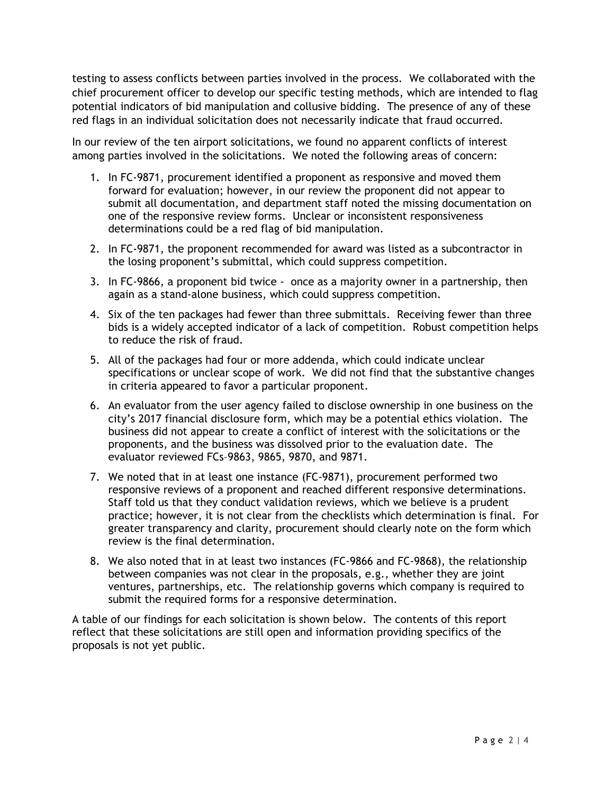testing to assess conflicts between parties involved in the process. We collaborated with the chief procurement officer to develop our specific testing methods, which are intended to flag potential indicators of bid manipulation and collusive bidding. The presence of any of these red flags in an individual solicitation does not necessarily indicate that fraud occurred.

In our review of the ten airport solicitations, we found no apparent conflicts of interest among parties involved in the solicitations. We noted the following areas of concern:

- 1. In FC-9871, procurement identified a proponent as responsive and moved them forward for evaluation; however, in our review the proponent did not appear to submit all documentation, and department staff noted the missing documentation on one of the responsive review forms. Unclear or inconsistent responsiveness determinations could be a red flag of bid manipulation.
- 2. In FC-9871, the proponent recommended for award was listed as a subcontractor in the losing proponent's submittal, which could suppress competition.
- 3. In FC-9866, a proponent bid twice once as a majority owner in a partnership, then again as a stand-alone business, which could suppress competition.
- 4. Six of the ten packages had fewer than three submittals. Receiving fewer than three bids is a widely accepted indicator of a lack of competition. Robust competition helps to reduce the risk of fraud.
- 5. All of the packages had four or more addenda, which could indicate unclear specifications or unclear scope of work. We did not find that the substantive changes in criteria appeared to favor a particular proponent.
- 6. An evaluator from the user agency failed to disclose ownership in one business on the city's 2017 financial disclosure form, which may be a potential ethics violation. The business did not appear to create a conflict of interest with the solicitations or the proponents, and the business was dissolved prior to the evaluation date. The evaluator reviewed FCs–9863, 9865, 9870, and 9871.
- 7. We noted that in at least one instance (FC-9871), procurement performed two responsive reviews of a proponent and reached different responsive determinations. Staff told us that they conduct validation reviews, which we believe is a prudent practice; however, it is not clear from the checklists which determination is final. For greater transparency and clarity, procurement should clearly note on the form which review is the final determination.
- 8. We also noted that in at least two instances (FC-9866 and FC-9868), the relationship between companies was not clear in the proposals, e.g., whether they are joint ventures, partnerships, etc. The relationship governs which company is required to submit the required forms for a responsive determination.

A table of our findings for each solicitation is shown below. The contents of this report reflect that these solicitations are still open and information providing specifics of the proposals is not yet public.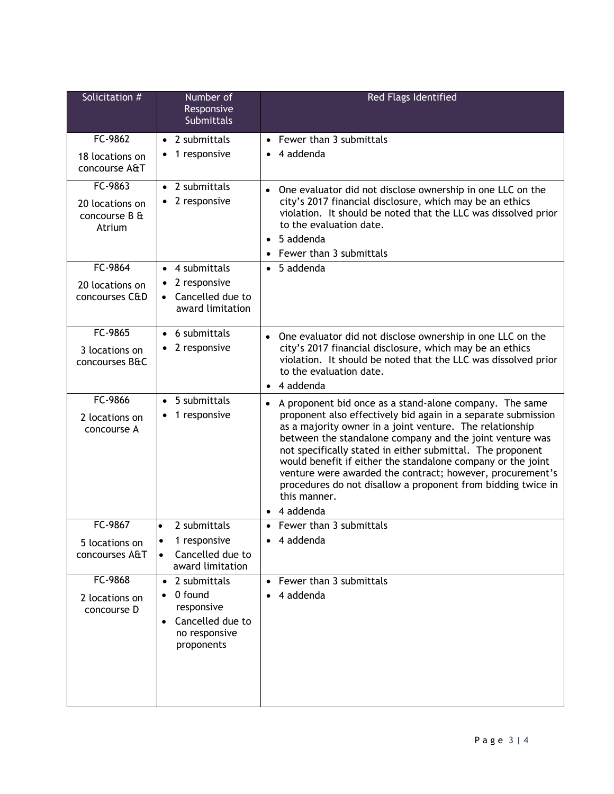| Solicitation #                             | Number of<br>Responsive<br>Submittals                                          | Red Flags Identified                                                                                                                                                                                                                                                                                                                                                                                                                                                                   |
|--------------------------------------------|--------------------------------------------------------------------------------|----------------------------------------------------------------------------------------------------------------------------------------------------------------------------------------------------------------------------------------------------------------------------------------------------------------------------------------------------------------------------------------------------------------------------------------------------------------------------------------|
| FC-9862                                    | • 2 submittals                                                                 | • Fewer than 3 submittals                                                                                                                                                                                                                                                                                                                                                                                                                                                              |
| 18 locations on<br>concourse A&T           | 1 responsive                                                                   | 4 addenda                                                                                                                                                                                                                                                                                                                                                                                                                                                                              |
| FC-9863                                    | $\bullet$ 2 submittals                                                         | One evaluator did not disclose ownership in one LLC on the                                                                                                                                                                                                                                                                                                                                                                                                                             |
| 20 locations on<br>concourse B &<br>Atrium | 2 responsive                                                                   | city's 2017 financial disclosure, which may be an ethics<br>violation. It should be noted that the LLC was dissolved prior<br>to the evaluation date.                                                                                                                                                                                                                                                                                                                                  |
|                                            |                                                                                | 5 addenda<br>$\bullet$<br>Fewer than 3 submittals<br>$\bullet$                                                                                                                                                                                                                                                                                                                                                                                                                         |
| FC-9864                                    | 4 submittals<br>$\bullet$                                                      | 5 addenda<br>$\bullet$                                                                                                                                                                                                                                                                                                                                                                                                                                                                 |
| 20 locations on                            | 2 responsive<br>$\bullet$                                                      |                                                                                                                                                                                                                                                                                                                                                                                                                                                                                        |
| concourses C&D                             | • Cancelled due to<br>award limitation                                         |                                                                                                                                                                                                                                                                                                                                                                                                                                                                                        |
| FC-9865                                    | • 6 submittals                                                                 | One evaluator did not disclose ownership in one LLC on the<br>$\bullet$                                                                                                                                                                                                                                                                                                                                                                                                                |
| 3 locations on<br>concourses B&C           | $\bullet$ 2 responsive                                                         | city's 2017 financial disclosure, which may be an ethics<br>violation. It should be noted that the LLC was dissolved prior<br>to the evaluation date.<br>4 addenda<br>$\bullet$                                                                                                                                                                                                                                                                                                        |
| FC-9866                                    | 5 submittals<br>$\bullet$                                                      | A proponent bid once as a stand-alone company. The same<br>$\bullet$                                                                                                                                                                                                                                                                                                                                                                                                                   |
| 2 locations on<br>concourse A              | 1 responsive                                                                   | proponent also effectively bid again in a separate submission<br>as a majority owner in a joint venture. The relationship<br>between the standalone company and the joint venture was<br>not specifically stated in either submittal. The proponent<br>would benefit if either the standalone company or the joint<br>venture were awarded the contract; however, procurement's<br>procedures do not disallow a proponent from bidding twice in<br>this manner.<br>$\bullet$ 4 addenda |
| FC-9867                                    | 2 submittals<br>$\bullet$                                                      | • Fewer than 3 submittals                                                                                                                                                                                                                                                                                                                                                                                                                                                              |
| 5 locations on<br>concourses A&T           | 1 responsive<br>$\bullet$<br>Cancelled due to<br>$\bullet$<br>award limitation | $\bullet$ 4 addenda                                                                                                                                                                                                                                                                                                                                                                                                                                                                    |
| FC-9868                                    | 2 submittals<br>$\bullet$                                                      | Fewer than 3 submittals<br>$\bullet$                                                                                                                                                                                                                                                                                                                                                                                                                                                   |
| 2 locations on<br>concourse D              | 0 found<br>responsive<br>• Cancelled due to<br>no responsive<br>proponents     | 4 addenda                                                                                                                                                                                                                                                                                                                                                                                                                                                                              |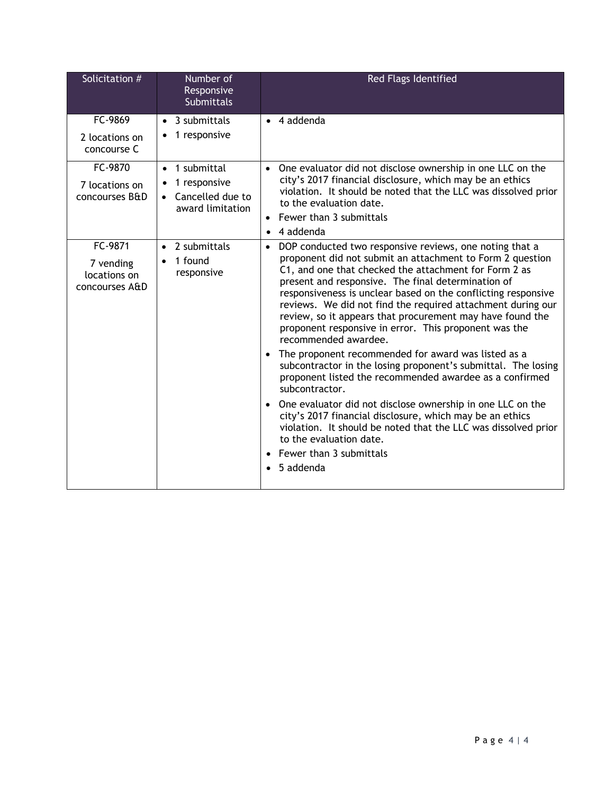| Solicitation #                                         | Number of<br>Responsive<br><b>Submittals</b>                            | Red Flags Identified                                                                                                                                                                                                                                                                                                                                                                                                                                                                                                                                                                                                                                                                                                                                                                                                                                                                                                                                                                        |
|--------------------------------------------------------|-------------------------------------------------------------------------|---------------------------------------------------------------------------------------------------------------------------------------------------------------------------------------------------------------------------------------------------------------------------------------------------------------------------------------------------------------------------------------------------------------------------------------------------------------------------------------------------------------------------------------------------------------------------------------------------------------------------------------------------------------------------------------------------------------------------------------------------------------------------------------------------------------------------------------------------------------------------------------------------------------------------------------------------------------------------------------------|
| FC-9869<br>2 locations on<br>concourse C               | $\bullet$ 3 submittals<br>1 responsive                                  | $\bullet$ 4 addenda                                                                                                                                                                                                                                                                                                                                                                                                                                                                                                                                                                                                                                                                                                                                                                                                                                                                                                                                                                         |
| FC-9870<br>7 locations on<br>concourses B&D            | • 1 submittal<br>1 responsive<br>• Cancelled due to<br>award limitation | • One evaluator did not disclose ownership in one LLC on the<br>city's 2017 financial disclosure, which may be an ethics<br>violation. It should be noted that the LLC was dissolved prior<br>to the evaluation date.<br>• Fewer than 3 submittals<br>4 addenda<br>$\bullet$                                                                                                                                                                                                                                                                                                                                                                                                                                                                                                                                                                                                                                                                                                                |
| FC-9871<br>7 vending<br>locations on<br>concourses A&D | • 2 submittals<br>1 found<br>responsive                                 | • DOP conducted two responsive reviews, one noting that a<br>proponent did not submit an attachment to Form 2 question<br>C1, and one that checked the attachment for Form 2 as<br>present and responsive. The final determination of<br>responsiveness is unclear based on the conflicting responsive<br>reviews. We did not find the required attachment during our<br>review, so it appears that procurement may have found the<br>proponent responsive in error. This proponent was the<br>recommended awardee.<br>• The proponent recommended for award was listed as a<br>subcontractor in the losing proponent's submittal. The losing<br>proponent listed the recommended awardee as a confirmed<br>subcontractor.<br>• One evaluator did not disclose ownership in one LLC on the<br>city's 2017 financial disclosure, which may be an ethics<br>violation. It should be noted that the LLC was dissolved prior<br>to the evaluation date.<br>Fewer than 3 submittals<br>5 addenda |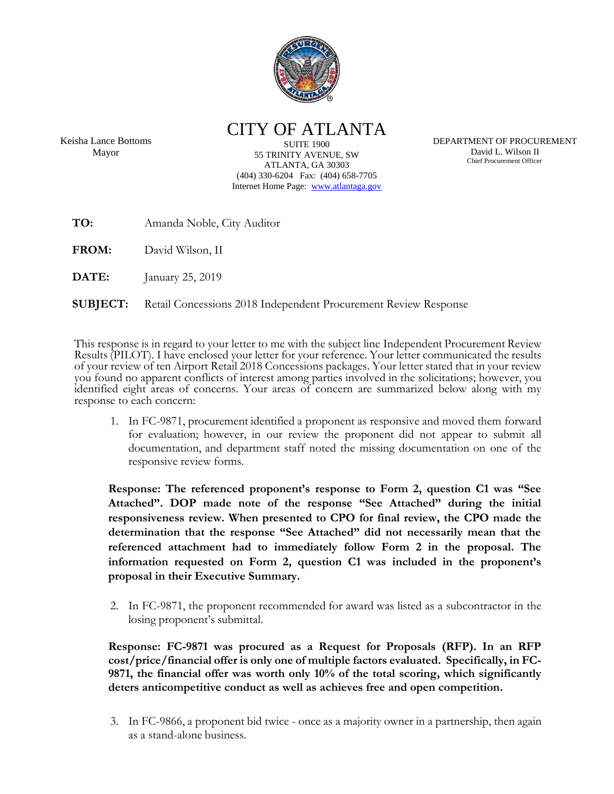

CITY OF ATLANTA

Keisha Lance Bottoms Mayor

**SUITE 1900** 55 TRINITY AVENUE, SW ATLANTA, GA 30303 (404) 330-6204 Fax: (404) 658-7705 Internet Home Page: [www.atlantaga.gov](http://www.ci.atlanta.ga.us/)

DEPARTMENT OF PROCUREMENT David L. Wilson II Chief Procurement Officer

**TO:** Amanda Noble, City Auditor

**FROM:** David Wilson, II

**DATE:** January 25, 2019

**SUBJECT:** Retail Concessions 2018 Independent Procurement Review Response

This response is in regard to your letter to me with the subject line Independent Procurement Review Results (PILOT). I have enclosed your letter for your reference. Your letter communicated the results of your review of ten Airport Retail 2018 Concessions packages. Your letter stated that in your review you found no apparent conflicts of interest among parties involved in the solicitations; however, you identified eight areas of concerns. Your areas of concern are summarized below along with my response to each concern:

1. In FC-9871, procurement identified a proponent as responsive and moved them forward for evaluation; however, in our review the proponent did not appear to submit all documentation, and department staff noted the missing documentation on one of the responsive review forms.

**Response: The referenced proponent's response to Form 2, question C1 was "See Attached". DOP made note of the response "See Attached" during the initial responsiveness review. When presented to CPO for final review, the CPO made the determination that the response "See Attached" did not necessarily mean that the referenced attachment had to immediately follow Form 2 in the proposal. The information requested on Form 2, question C1 was included in the proponent's proposal in their Executive Summary.**

2. In FC-9871, the proponent recommended for award was listed as a subcontractor in the losing proponent's submittal.

**Response: FC-9871 was procured as a Request for Proposals (RFP). In an RFP cost/price/financial offer is only one of multiple factors evaluated. Specifically, in FC-9871, the financial offer was worth only 10% of the total scoring, which significantly deters anticompetitive conduct as well as achieves free and open competition.** 

3. In FC-9866, a proponent bid twice - once as a majority owner in a partnership, then again as a stand-alone business.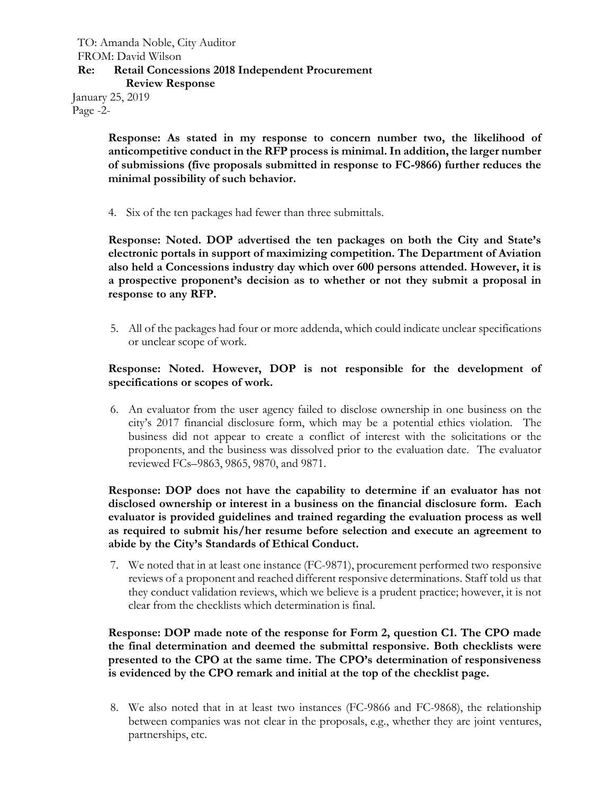## TO: Amanda Noble, City Auditor FROM: David Wilson **Re: Retail Concessions 2018 Independent Procurement Review Response**

January 25, 2019 Page -2-

> **Response: As stated in my response to concern number two, the likelihood of anticompetitive conduct in the RFP process is minimal. In addition, the larger number of submissions (five proposals submitted in response to FC-9866) further reduces the minimal possibility of such behavior.**

4. Six of the ten packages had fewer than three submittals.

**Response: Noted. DOP advertised the ten packages on both the City and State's electronic portals in support of maximizing competition. The Department of Aviation also held a Concessions industry day which over 600 persons attended. However, it is a prospective proponent's decision as to whether or not they submit a proposal in response to any RFP.** 

5. All of the packages had four or more addenda, which could indicate unclear specifications or unclear scope of work.

## **Response: Noted. However, DOP is not responsible for the development of specifications or scopes of work.**

6. An evaluator from the user agency failed to disclose ownership in one business on the city's 2017 financial disclosure form, which may be a potential ethics violation. The business did not appear to create a conflict of interest with the solicitations or the proponents, and the business was dissolved prior to the evaluation date. The evaluator reviewed FCs–9863, 9865, 9870, and 9871.

**Response: DOP does not have the capability to determine if an evaluator has not disclosed ownership or interest in a business on the financial disclosure form. Each evaluator is provided guidelines and trained regarding the evaluation process as well as required to submit his/her resume before selection and execute an agreement to abide by the City's Standards of Ethical Conduct.**

7. We noted that in at least one instance (FC-9871), procurement performed two responsive reviews of a proponent and reached different responsive determinations. Staff told us that they conduct validation reviews, which we believe is a prudent practice; however, it is not clear from the checklists which determination is final.

**Response: DOP made note of the response for Form 2, question C1. The CPO made the final determination and deemed the submittal responsive. Both checklists were presented to the CPO at the same time. The CPO's determination of responsiveness is evidenced by the CPO remark and initial at the top of the checklist page.** 

8. We also noted that in at least two instances (FC-9866 and FC-9868), the relationship between companies was not clear in the proposals, e.g., whether they are joint ventures, partnerships, etc.